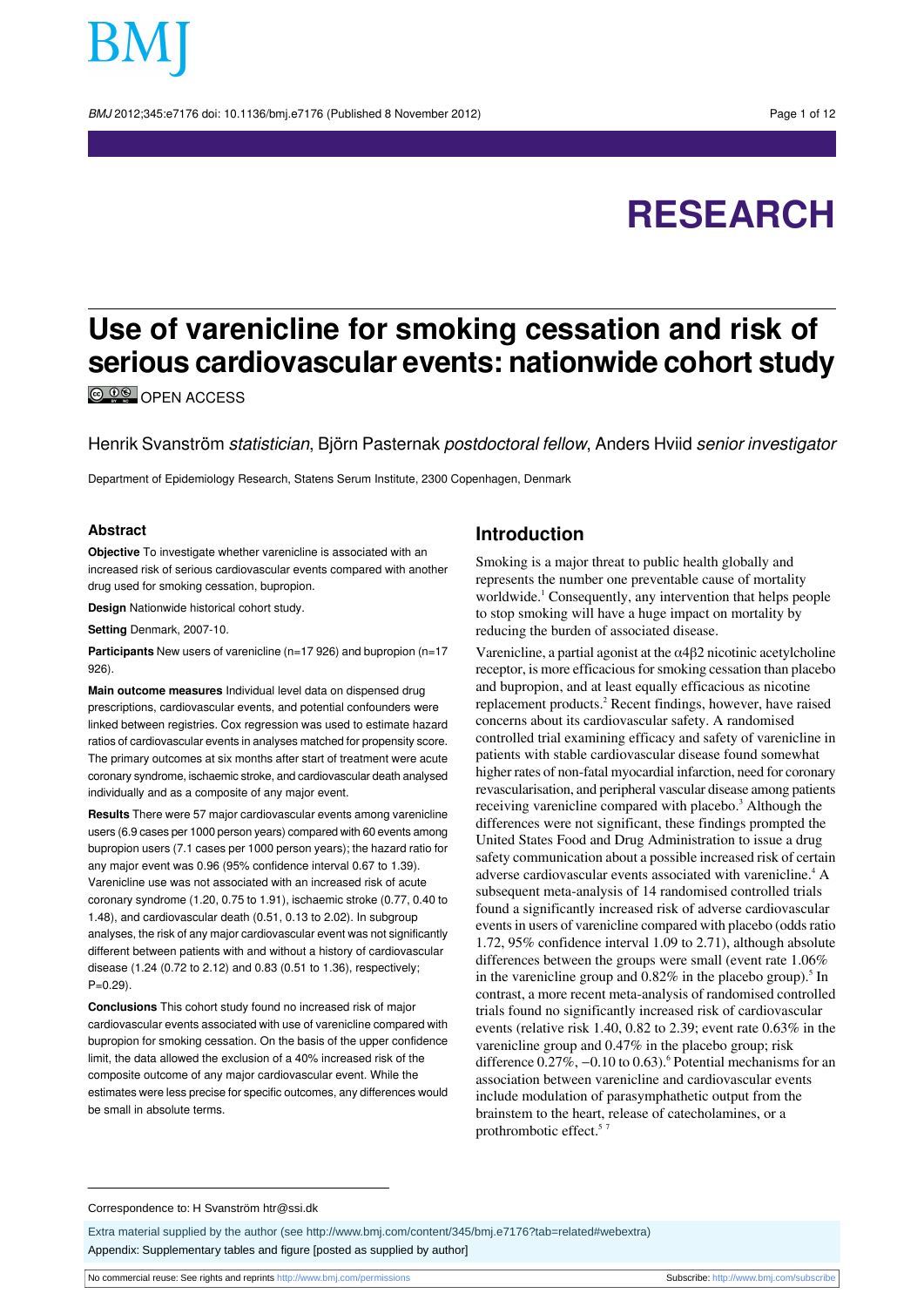BMJ 2012:345:e7176 doi: 10.1136/bmi.e7176 (Published 8 November 2012) Page 1 of 12

# **RESEARCH**

## **Use of varenicline for smoking cessation and risk of serious cardiovascular events: nationwide cohort study**

**C**  $\frac{0}{2}$  OPEN ACCESS

Henrik Svanström statistician, Björn Pasternak postdoctoral fellow, Anders Hviid senior investigator

Department of Epidemiology Research, Statens Serum Institute, 2300 Copenhagen, Denmark

#### **Abstract**

**Objective** To investigate whether varenicline is associated with an increased risk of serious cardiovascular events compared with another drug used for smoking cessation, bupropion.

**Design** Nationwide historical cohort study.

**Setting** Denmark, 2007-10.

**Participants** New users of varenicline (n=17 926) and bupropion (n=17 926).

**Main outcome measures** Individual level data on dispensed drug prescriptions, cardiovascular events, and potential confounders were linked between registries. Cox regression was used to estimate hazard ratios of cardiovascular events in analyses matched for propensity score. The primary outcomes at six months after start of treatment were acute coronary syndrome, ischaemic stroke, and cardiovascular death analysed individually and as a composite of any major event.

**Results** There were 57 major cardiovascular events among varenicline users (6.9 cases per 1000 person years) compared with 60 events among bupropion users (7.1 cases per 1000 person years); the hazard ratio for any major event was 0.96 (95% confidence interval 0.67 to 1.39). Varenicline use was not associated with an increased risk of acute coronary syndrome (1.20, 0.75 to 1.91), ischaemic stroke (0.77, 0.40 to 1.48), and cardiovascular death (0.51, 0.13 to 2.02). In subgroup analyses, the risk of any major cardiovascular event was not significantly different between patients with and without a history of cardiovascular disease (1.24 (0.72 to 2.12) and 0.83 (0.51 to 1.36), respectively;  $P=0.29$ ).

**Conclusions** This cohort study found no increased risk of major cardiovascular events associated with use of varenicline compared with bupropion for smoking cessation. On the basis of the upper confidence limit, the data allowed the exclusion of a 40% increased risk of the composite outcome of any major cardiovascular event. While the estimates were less precise for specific outcomes, any differences would be small in absolute terms.

## **Introduction**

Smoking is a major threat to public health globally and represents the number one preventable cause of mortality worldwide.<sup>1</sup> Consequently, any intervention that helps people to stop smoking will have a huge impact on mortality by reducing the burden of associated disease.

Varenicline, a partial agonist at the  $\alpha$ 4 $\beta$ 2 nicotinic acetylcholine receptor, is more efficacious for smoking cessation than placebo and bupropion, and at least equally efficacious as nicotine replacement products.<sup>2</sup> Recent findings, however, have raised concerns about its cardiovascular safety. A randomised controlled trial examining efficacy and safety of varenicline in patients with stable cardiovascular disease found somewhat higher rates of non-fatal myocardial infarction, need for coronary revascularisation, and peripheral vascular disease among patients receiving varenicline compared with placebo.<sup>3</sup> Although the differences were not significant, these findings prompted the United States Food and Drug Administration to issue a drug safety communication about a possible increased risk of certain adverse cardiovascular events associated with varenicline.<sup>4</sup> A subsequent meta-analysis of 14 randomised controlled trials found a significantly increased risk of adverse cardiovascular events in users of varenicline compared with placebo (odds ratio 1.72, 95% confidence interval 1.09 to 2.71), although absolute differences between the groups were small (event rate 1.06% in the varenicline group and  $0.82\%$  in the placebo group).<sup>5</sup> In contrast, a more recent meta-analysis of randomised controlled trials found no significantly increased risk of cardiovascular events (relative risk 1.40, 0.82 to 2.39; event rate 0.63% in the varenicline group and 0.47% in the placebo group; risk difference  $0.27\%$ ,  $-0.10$  to  $0.63$ ).<sup>6</sup> Potential mechanisms for an association between varenicline and cardiovascular events include modulation of parasymphathetic output from the brainstem to the heart, release of catecholamines, or a prothrombotic effect.<sup>5</sup>

Extra material supplied by the author (see [http://www.bmj.com/content/345/bmj.e7176?tab=related#webextra\)](http://www.bmj.com/content/345/bmj.e7176?tab=related#webextra) Appendix: Supplementary tables and figure [posted as supplied by author]

Correspondence to: H Svanström htr@ssi.dk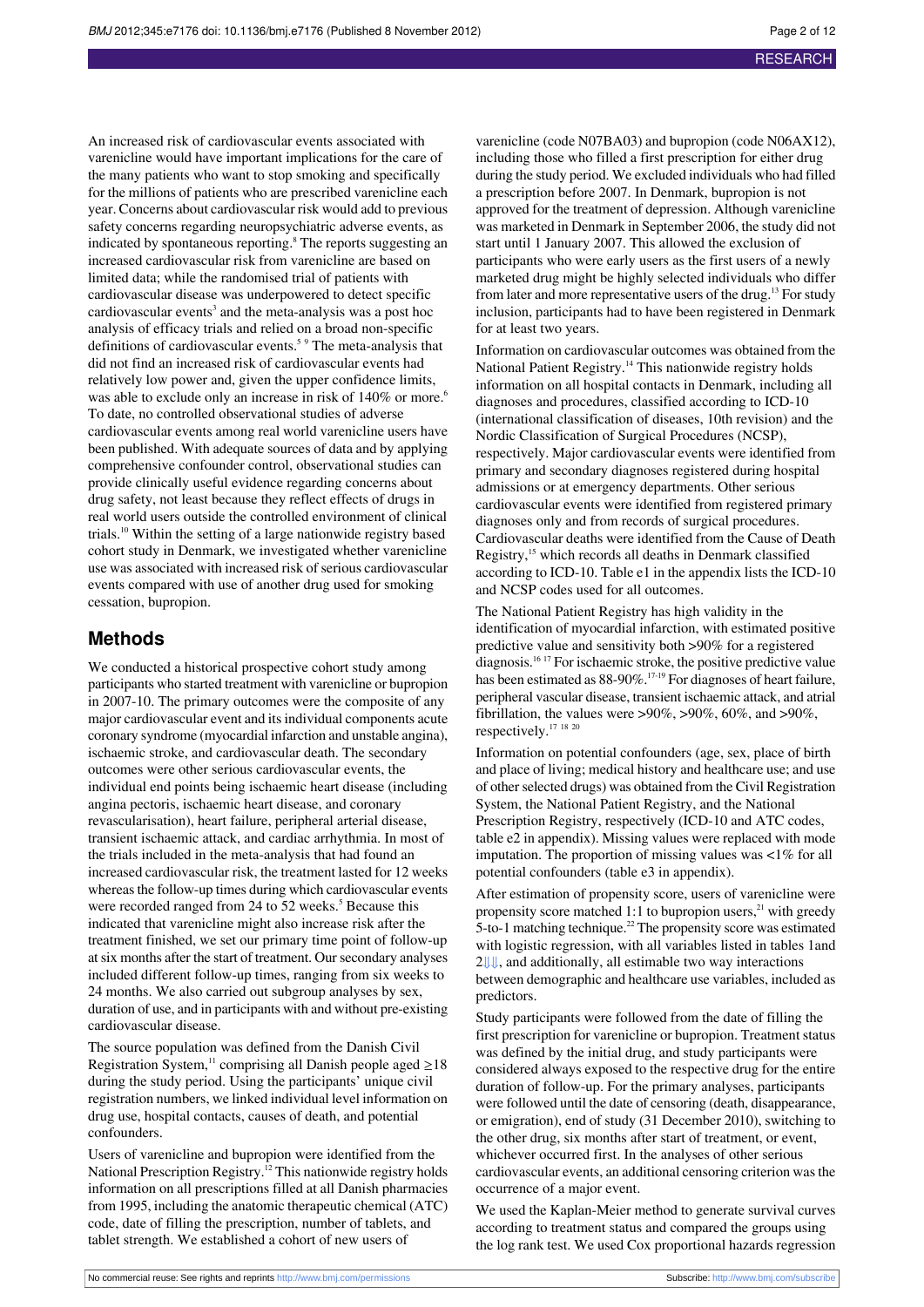An increased risk of cardiovascular events associated with varenicline would have important implications for the care of the many patients who want to stop smoking and specifically for the millions of patients who are prescribed varenicline each year. Concerns about cardiovascular risk would add to previous safety concerns regarding neuropsychiatric adverse events, as indicated by spontaneous reporting.<sup>8</sup> The reports suggesting an increased cardiovascular risk from varenicline are based on limited data; while the randomised trial of patients with cardiovascular disease was underpowered to detect specific cardiovascular events<sup>3</sup> and the meta-analysis was a post hoc analysis of efficacy trials and relied on a broad non-specific definitions of cardiovascular events.<sup>5 9</sup> The meta-analysis that did not find an increased risk of cardiovascular events had relatively low power and, given the upper confidence limits, was able to exclude only an increase in risk of 140% or more.<sup>6</sup> To date, no controlled observational studies of adverse cardiovascular events among real world varenicline users have been published. With adequate sources of data and by applying comprehensive confounder control, observational studies can provide clinically useful evidence regarding concerns about drug safety, not least because they reflect effects of drugs in real world users outside the controlled environment of clinical trials.<sup>10</sup> Within the setting of a large nationwide registry based cohort study in Denmark, we investigated whether varenicline use was associated with increased risk of serious cardiovascular events compared with use of another drug used for smoking cessation, bupropion.

## **Methods**

We conducted a historical prospective cohort study among participants who started treatment with varenicline or bupropion in 2007-10. The primary outcomes were the composite of any major cardiovascular event and itsindividual components acute coronary syndrome (myocardial infarction and unstable angina), ischaemic stroke, and cardiovascular death. The secondary outcomes were other serious cardiovascular events, the individual end points being ischaemic heart disease (including angina pectoris, ischaemic heart disease, and coronary revascularisation), heart failure, peripheral arterial disease, transient ischaemic attack, and cardiac arrhythmia. In most of the trials included in the meta-analysis that had found an increased cardiovascular risk, the treatment lasted for 12 weeks whereas the follow-up times during which cardiovascular events were recorded ranged from 24 to 52 weeks.<sup>5</sup> Because this indicated that varenicline might also increase risk after the treatment finished, we set our primary time point of follow-up at six months after the start of treatment. Our secondary analyses included different follow-up times, ranging from six weeks to 24 months. We also carried out subgroup analyses by sex, duration of use, and in participants with and without pre-existing cardiovascular disease.

The source population was defined from the Danish Civil Registration System,<sup>11</sup> comprising all Danish people aged  $\geq$ 18 during the study period. Using the participants' unique civil registration numbers, we linked individual level information on drug use, hospital contacts, causes of death, and potential confounders.

Users of varenicline and bupropion were identified from the National Prescription Registry.<sup>12</sup> This nationwide registry holds information on all prescriptions filled at all Danish pharmacies from 1995, including the anatomic therapeutic chemical (ATC) code, date of filling the prescription, number of tablets, and tablet strength. We established a cohort of new users of

varenicline (code N07BA03) and bupropion (code N06AX12), including those who filled a first prescription for either drug during the study period. We excluded individuals who had filled a prescription before 2007. In Denmark, bupropion is not approved for the treatment of depression. Although varenicline was marketed in Denmark in September 2006, the study did not start until 1 January 2007. This allowed the exclusion of participants who were early users as the first users of a newly marketed drug might be highly selected individuals who differ from later and more representative users of the drug.<sup>13</sup> For study inclusion, participants had to have been registered in Denmark for at least two years.

Information on cardiovascular outcomes was obtained from the National Patient Registry.<sup>14</sup> This nationwide registry holds information on all hospital contacts in Denmark, including all diagnoses and procedures, classified according to ICD-10 (international classification of diseases, 10th revision) and the Nordic Classification of Surgical Procedures (NCSP), respectively. Major cardiovascular events were identified from primary and secondary diagnoses registered during hospital admissions or at emergency departments. Other serious cardiovascular events were identified from registered primary diagnoses only and from records of surgical procedures. Cardiovascular deaths were identified from the Cause of Death Registry,<sup>15</sup> which records all deaths in Denmark classified according to ICD-10. Table e1 in the appendix lists the ICD-10 and NCSP codes used for all outcomes.

The National Patient Registry has high validity in the identification of myocardial infarction, with estimated positive predictive value and sensitivity both >90% for a registered diagnosis.<sup>16</sup> <sup>17</sup> For ischaemic stroke, the positive predictive value has been estimated as 88-90%.<sup>17-19</sup> For diagnoses of heart failure, peripheral vascular disease, transient ischaemic attack, and atrial fibrillation, the values were  $>90\%$ ,  $>90\%$ , 60%, and  $>90\%$ , respectively.<sup>17</sup> <sup>18</sup> <sup>20</sup>

Information on potential confounders (age, sex, place of birth and place of living; medical history and healthcare use; and use of other selected drugs) was obtained from the Civil Registration System, the National Patient Registry, and the National Prescription Registry, respectively (ICD-10 and ATC codes, table e2 in appendix). Missing values were replaced with mode imputation. The proportion of missing values was <1% for all potential confounders (table e3 in appendix).

After estimation of propensity score, users of varenicline were propensity score matched 1:1 to bupropion users, $^{21}$  with greedy  $5$ -to-1 matching technique.<sup>22</sup> The propensity score was estimated with logistic regression, with all variables listed in tables 1and [2⇓](#page-5-0)[⇓,](#page-6-0) and additionally, all estimable two way interactions between demographic and healthcare use variables, included as predictors.

Study participants were followed from the date of filling the first prescription for varenicline or bupropion. Treatment status was defined by the initial drug, and study participants were considered always exposed to the respective drug for the entire duration of follow-up. For the primary analyses, participants were followed until the date of censoring (death, disappearance, or emigration), end of study (31 December 2010), switching to the other drug, six months after start of treatment, or event, whichever occurred first. In the analyses of other serious cardiovascular events, an additional censoring criterion wasthe occurrence of a major event.

We used the Kaplan-Meier method to generate survival curves according to treatment status and compared the groups using the log rank test. We used Cox proportional hazards regression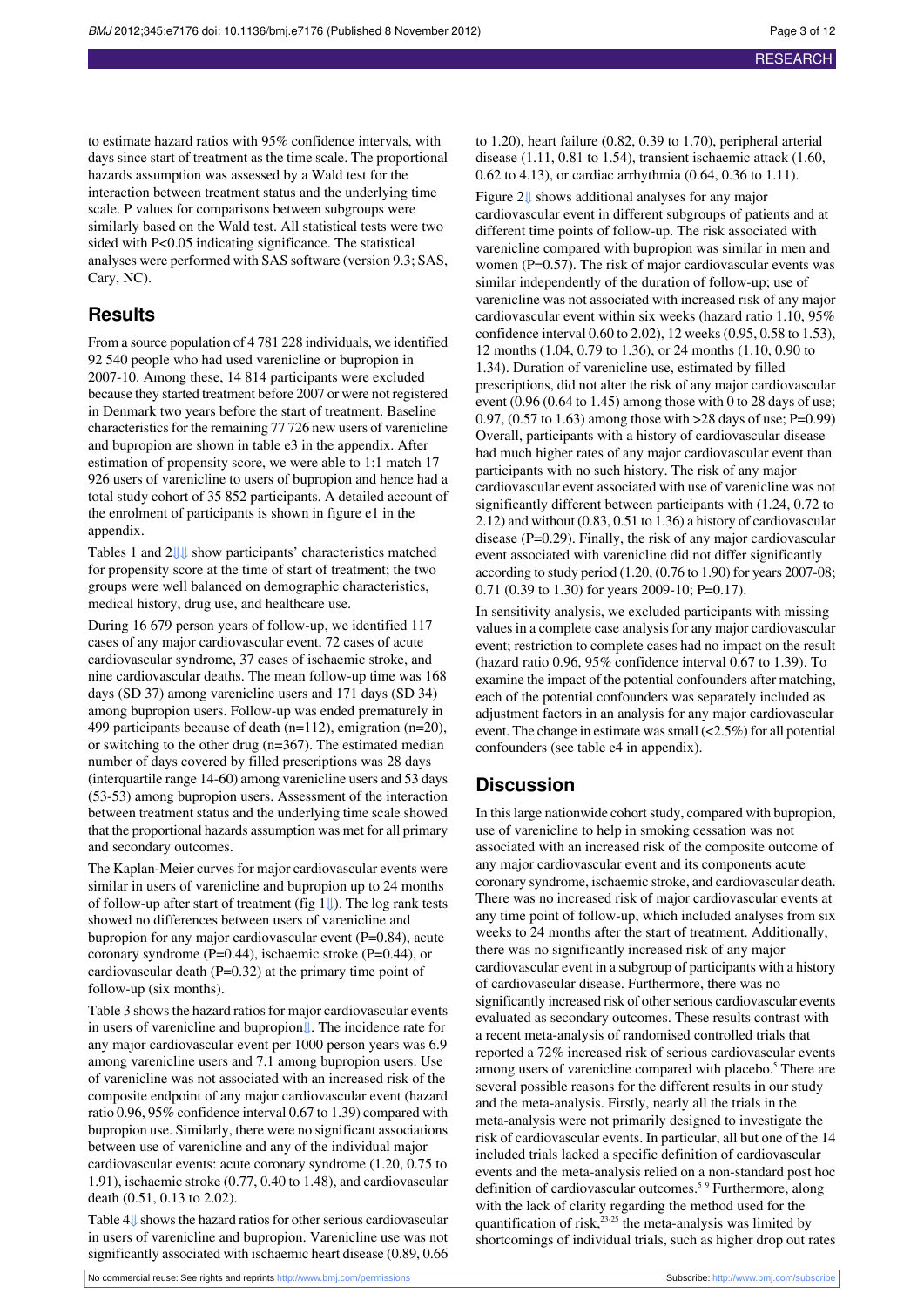to estimate hazard ratios with 95% confidence intervals, with days since start of treatment as the time scale. The proportional hazards assumption was assessed by a Wald test for the interaction between treatment status and the underlying time scale. P values for comparisons between subgroups were similarly based on the Wald test. All statistical tests were two sided with P<0.05 indicating significance. The statistical analyses were performed with SAS software (version 9.3; SAS, Cary, NC).

## **Results**

From a source population of 4 781 228 individuals, we identified 92 540 people who had used varenicline or bupropion in 2007-10. Among these, 14 814 participants were excluded because they started treatment before 2007 or were not registered in Denmark two years before the start of treatment. Baseline characteristics for the remaining 77 726 new users of varenicline and bupropion are shown in table e3 in the appendix. After estimation of propensity score, we were able to 1:1 match 17 926 users of varenicline to users of bupropion and hence had a total study cohort of 35 852 participants. A detailed account of the enrolment of participants is shown in figure e1 in the appendix.

Tables 1 and [2⇓](#page-5-0)[⇓](#page-6-0) show participants' characteristics matched for propensity score at the time of start of treatment; the two groups were well balanced on demographic characteristics, medical history, drug use, and healthcare use.

During 16 679 person years of follow-up, we identified 117 cases of any major cardiovascular event, 72 cases of acute cardiovascular syndrome, 37 cases of ischaemic stroke, and nine cardiovascular deaths. The mean follow-up time was 168 days (SD 37) among varenicline users and 171 days (SD 34) among bupropion users. Follow-up was ended prematurely in 499 participants because of death (n=112), emigration (n=20), or switching to the other drug (n=367). The estimated median number of days covered by filled prescriptions was 28 days (interquartile range 14-60) among varenicline users and 53 days (53-53) among bupropion users. Assessment of the interaction between treatment status and the underlying time scale showed that the proportional hazards assumption was met for all primary and secondary outcomes.

The Kaplan-Meier curves for major cardiovascular events were similar in users of varenicline and bupropion up to 24 months of follow-up after start of treatment (fig  $1 \downarrow$ ). The log rank tests showed no differences between users of varenicline and bupropion for any major cardiovascular event (P=0.84), acute coronary syndrome (P=0.44), ischaemic stroke (P=0.44), or cardiovascular death (P=0.32) at the primary time point of follow-up (six months).

Table 3 shows the hazard ratios for major cardiovascular events in users of varenicline and bupropio[n⇓](#page-8-0). The incidence rate for any major cardiovascular event per 1000 person years was 6.9 among varenicline users and 7.1 among bupropion users. Use of varenicline was not associated with an increased risk of the composite endpoint of any major cardiovascular event (hazard ratio 0.96, 95% confidence interval 0.67 to 1.39) compared with bupropion use. Similarly, there were no significant associations between use of varenicline and any of the individual major cardiovascular events: acute coronary syndrome (1.20, 0.75 to 1.91), ischaemic stroke (0.77, 0.40 to 1.48), and cardiovascular death (0.51, 0.13 to 2.02).

Table 4 $\parallel$  shows the hazard ratios for other serious cardiovascular in users of varenicline and bupropion. Varenicline use was not significantly associated with ischaemic heart disease (0.89, 0.66

to 1.20), heart failure (0.82, 0.39 to 1.70), peripheral arterial disease (1.11, 0.81 to 1.54), transient ischaemic attack (1.60, 0.62 to 4.13), or cardiac arrhythmia (0.64, 0.36 to 1.11).

Figure 2[⇓](#page-11-0) shows additional analyses for any major cardiovascular event in different subgroups of patients and at different time points of follow-up. The risk associated with varenicline compared with bupropion was similar in men and women (P=0.57). The risk of major cardiovascular events was similar independently of the duration of follow-up; use of varenicline was not associated with increased risk of any major cardiovascular event within six weeks (hazard ratio 1.10, 95% confidence interval 0.60 to 2.02), 12 weeks (0.95, 0.58 to 1.53), 12 months (1.04, 0.79 to 1.36), or 24 months (1.10, 0.90 to 1.34). Duration of varenicline use, estimated by filled prescriptions, did not alter the risk of any major cardiovascular event  $(0.96 (0.64 \text{ to } 1.45)$  among those with 0 to 28 days of use; 0.97, (0.57 to 1.63) among those with >28 days of use; P=0.99) Overall, participants with a history of cardiovascular disease had much higher rates of any major cardiovascular event than participants with no such history. The risk of any major cardiovascular event associated with use of varenicline was not significantly different between participants with (1.24, 0.72 to 2.12) and without (0.83, 0.51 to 1.36) a history of cardiovascular disease (P=0.29). Finally, the risk of any major cardiovascular event associated with varenicline did not differ significantly according to study period (1.20, (0.76 to 1.90) for years 2007-08; 0.71 (0.39 to 1.30) for years 2009-10; P=0.17).

In sensitivity analysis, we excluded participants with missing values in a complete case analysis for any major cardiovascular event; restriction to complete cases had no impact on the result (hazard ratio 0.96, 95% confidence interval 0.67 to 1.39). To examine the impact of the potential confounders after matching, each of the potential confounders was separately included as adjustment factors in an analysis for any major cardiovascular event. The change in estimate was small  $\left($ <2.5% $\right)$  for all potential confounders (see table e4 in appendix).

## **Discussion**

In this large nationwide cohort study, compared with bupropion, use of varenicline to help in smoking cessation was not associated with an increased risk of the composite outcome of any major cardiovascular event and its components acute coronary syndrome, ischaemic stroke, and cardiovascular death. There was no increased risk of major cardiovascular events at any time point of follow-up, which included analyses from six weeks to 24 months after the start of treatment. Additionally, there was no significantly increased risk of any major cardiovascular event in a subgroup of participants with a history of cardiovascular disease. Furthermore, there was no significantly increased risk of other serious cardiovascular events evaluated as secondary outcomes. These results contrast with a recent meta-analysis of randomised controlled trials that reported a 72% increased risk of serious cardiovascular events among users of varenicline compared with placebo.<sup>5</sup> There are several possible reasons for the different results in our study and the meta-analysis. Firstly, nearly all the trials in the meta-analysis were not primarily designed to investigate the risk of cardiovascular events. In particular, all but one of the 14 included trials lacked a specific definition of cardiovascular events and the meta-analysis relied on a non-standard post hoc definition of cardiovascular outcomes.<sup>5 9</sup> Furthermore, along with the lack of clarity regarding the method used for the quantification of risk, $^{23-25}$  the meta-analysis was limited by shortcomings of individual trials, such as higher drop out rates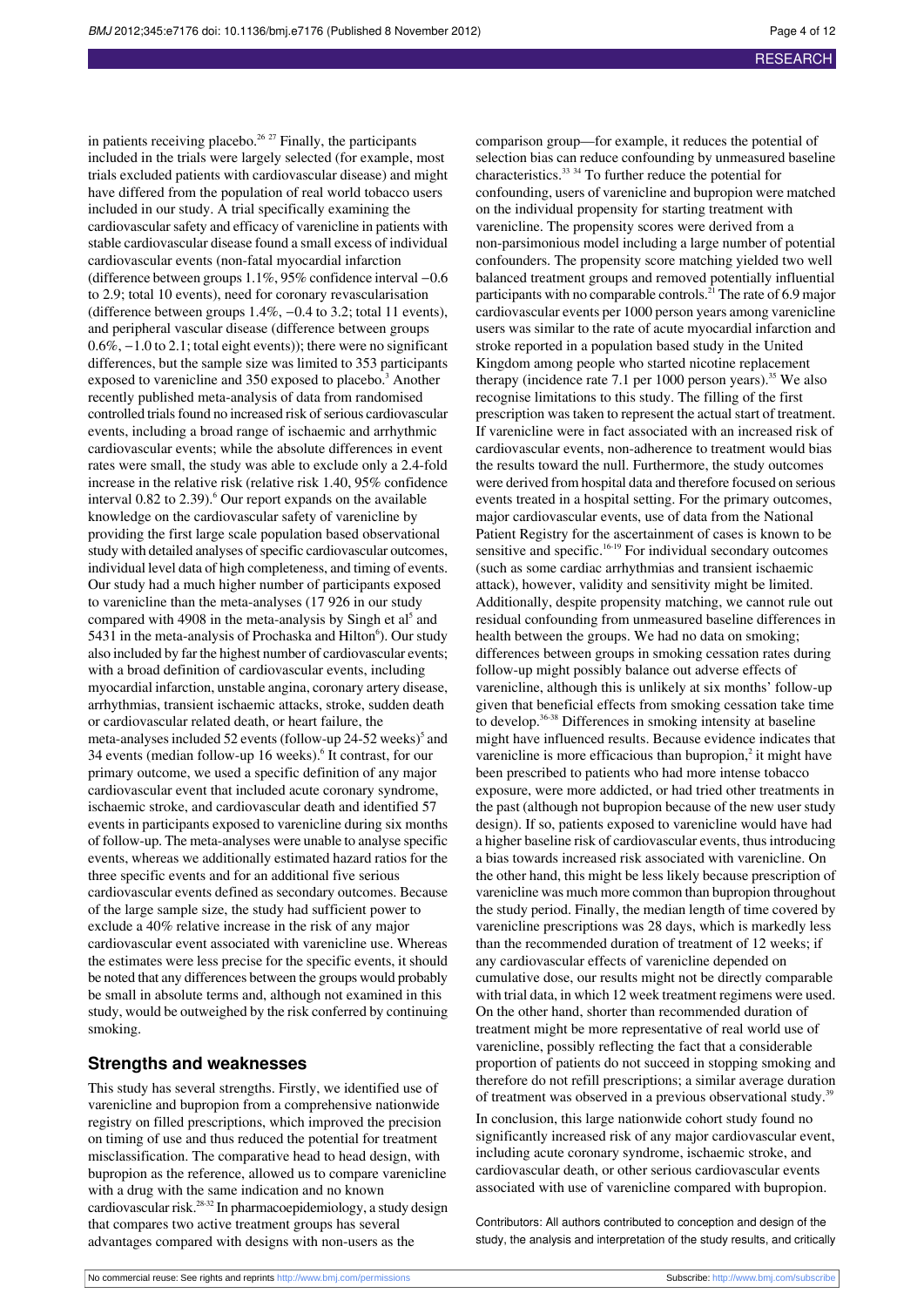in patients receiving placebo.<sup>26 27</sup> Finally, the participants included in the trials were largely selected (for example, most trials excluded patients with cardiovascular disease) and might have differed from the population of real world tobacco users included in our study. A trial specifically examining the cardiovascular safety and efficacy of varenicline in patients with stable cardiovascular disease found a small excess of individual cardiovascular events (non-fatal myocardial infarction (difference between groups 1.1%, 95% confidence interval −0.6 to 2.9; total 10 events), need for coronary revascularisation (difference between groups 1.4%, −0.4 to 3.2; total 11 events), and peripheral vascular disease (difference between groups 0.6%, −1.0 to 2.1; total eight events)); there were no significant differences, but the sample size was limited to 353 participants exposed to varenicline and 350 exposed to placebo.<sup>3</sup> Another recently published meta-analysis of data from randomised controlled trials found no increased risk of serious cardiovascular events, including a broad range of ischaemic and arrhythmic cardiovascular events; while the absolute differences in event rates were small, the study was able to exclude only a 2.4-fold increase in the relative risk (relative risk 1.40, 95% confidence interval  $0.82$  to  $2.39$ <sup>6</sup>. Our report expands on the available knowledge on the cardiovascular safety of varenicline by providing the first large scale population based observational study with detailed analyses of specific cardiovascular outcomes, individual level data of high completeness, and timing of events. Our study had a much higher number of participants exposed to varenicline than the meta-analyses (17 926 in our study compared with 4908 in the meta-analysis by Singh et al<sup>5</sup> and 5431 in the meta-analysis of Prochaska and Hilton<sup>6</sup>). Our study also included by far the highest number of cardiovascular events; with a broad definition of cardiovascular events, including myocardial infarction, unstable angina, coronary artery disease, arrhythmias, transient ischaemic attacks, stroke, sudden death or cardiovascular related death, or heart failure, the meta-analyses included 52 events (follow-up 24-52 weeks)<sup>5</sup> and 34 events (median follow-up 16 weeks).<sup>6</sup> It contrast, for our primary outcome, we used a specific definition of any major cardiovascular event that included acute coronary syndrome, ischaemic stroke, and cardiovascular death and identified 57 events in participants exposed to varenicline during six months of follow-up. The meta-analyses were unable to analyse specific events, whereas we additionally estimated hazard ratios for the three specific events and for an additional five serious cardiovascular events defined as secondary outcomes. Because of the large sample size, the study had sufficient power to exclude a 40% relative increase in the risk of any major cardiovascular event associated with varenicline use. Whereas the estimates were less precise for the specific events, it should be noted that any differences between the groups would probably be small in absolute terms and, although not examined in this study, would be outweighed by the risk conferred by continuing smoking.

## **Strengths and weaknesses**

This study has several strengths. Firstly, we identified use of varenicline and bupropion from a comprehensive nationwide registry on filled prescriptions, which improved the precision on timing of use and thus reduced the potential for treatment misclassification. The comparative head to head design, with bupropion as the reference, allowed us to compare varenicline with a drug with the same indication and no known cardiovascular risk.28-32 In pharmacoepidemiology, a study design that compares two active treatment groups has several advantages compared with designs with non-users as the

comparison group—for example, it reduces the potential of selection bias can reduce confounding by unmeasured baseline characteristics.<sup>33</sup> <sup>34</sup> To further reduce the potential for confounding, users of varenicline and bupropion were matched on the individual propensity for starting treatment with varenicline. The propensity scores were derived from a non-parsimonious model including a large number of potential confounders. The propensity score matching yielded two well balanced treatment groups and removed potentially influential participants with no comparable controls.<sup>21</sup> The rate of 6.9 major cardiovascular events per 1000 person years among varenicline users was similar to the rate of acute myocardial infarction and stroke reported in a population based study in the United Kingdom among people who started nicotine replacement therapy (incidence rate 7.1 per 1000 person years).<sup>35</sup> We also recognise limitations to this study. The filling of the first prescription was taken to represent the actual start of treatment. If varenicline were in fact associated with an increased risk of cardiovascular events, non-adherence to treatment would bias the results toward the null. Furthermore, the study outcomes were derived from hospital data and therefore focused on serious events treated in a hospital setting. For the primary outcomes, major cardiovascular events, use of data from the National Patient Registry for the ascertainment of cases is known to be sensitive and specific.<sup>16-19</sup> For individual secondary outcomes (such as some cardiac arrhythmias and transient ischaemic attack), however, validity and sensitivity might be limited. Additionally, despite propensity matching, we cannot rule out residual confounding from unmeasured baseline differences in health between the groups. We had no data on smoking; differences between groups in smoking cessation rates during follow-up might possibly balance out adverse effects of varenicline, although this is unlikely at six months' follow-up given that beneficial effects from smoking cessation take time to develop.<sup>36-38</sup> Differences in smoking intensity at baseline might have influenced results. Because evidence indicates that varenicline is more efficacious than bupropion, $2$  it might have been prescribed to patients who had more intense tobacco exposure, were more addicted, or had tried other treatments in the past (although not bupropion because of the new user study design). If so, patients exposed to varenicline would have had a higher baseline risk of cardiovascular events, thus introducing a bias towards increased risk associated with varenicline. On the other hand, this might be less likely because prescription of varenicline was much more common than bupropion throughout the study period. Finally, the median length of time covered by varenicline prescriptions was 28 days, which is markedly less than the recommended duration of treatment of 12 weeks; if any cardiovascular effects of varenicline depended on cumulative dose, our results might not be directly comparable with trial data, in which 12 week treatment regimens were used. On the other hand, shorter than recommended duration of treatment might be more representative of real world use of varenicline, possibly reflecting the fact that a considerable proportion of patients do not succeed in stopping smoking and therefore do not refill prescriptions; a similar average duration of treatment was observed in a previous observational study.<sup>39</sup>

In conclusion, this large nationwide cohort study found no significantly increased risk of any major cardiovascular event, including acute coronary syndrome, ischaemic stroke, and cardiovascular death, or other serious cardiovascular events associated with use of varenicline compared with bupropion.

Contributors: All authors contributed to conception and design of the study, the analysis and interpretation of the study results, and critically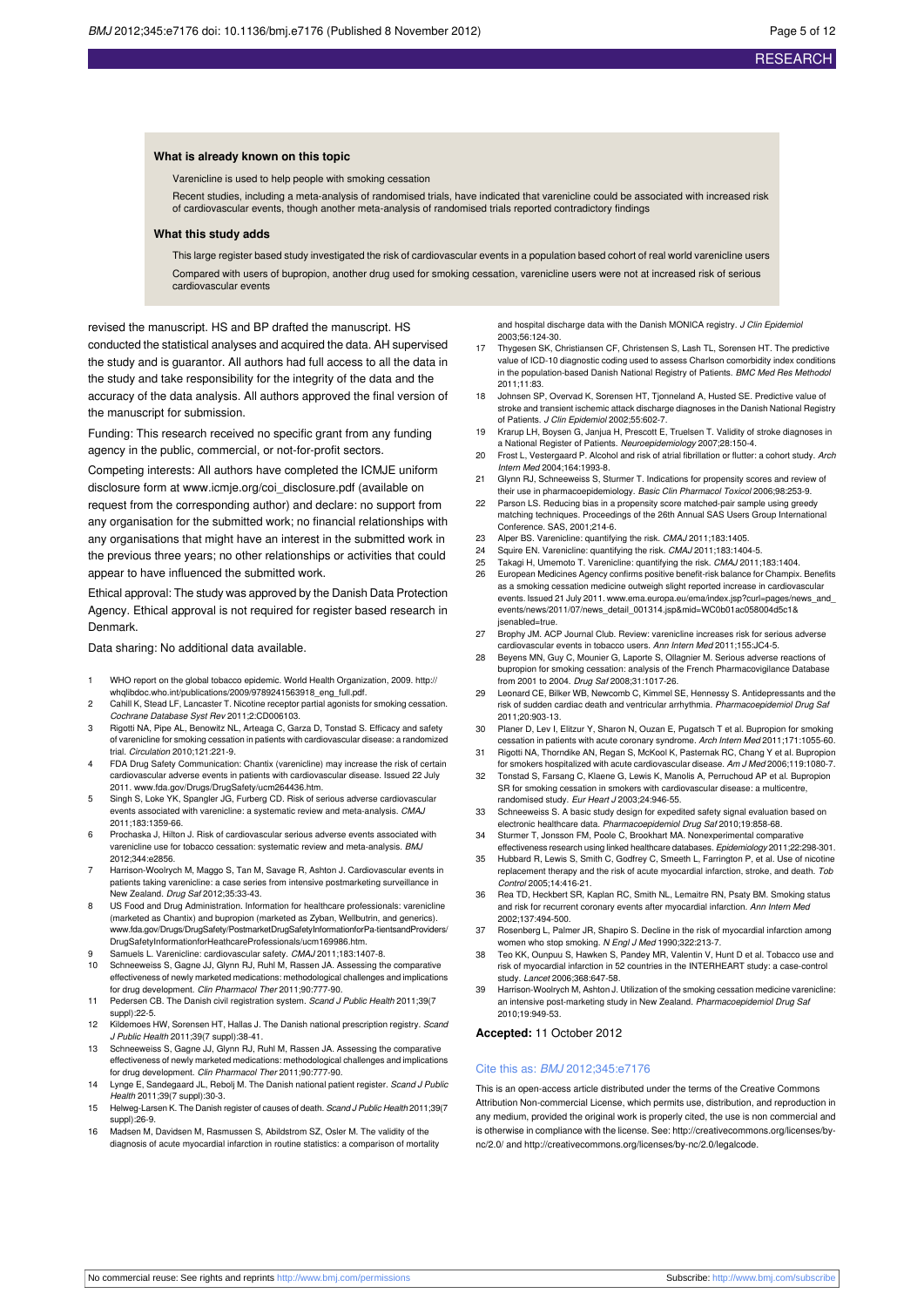#### **What is already known on this topic**

Varenicline is used to help people with smoking cessation

Recent studies, including a meta-analysis of randomised trials, have indicated that varenicline could be associated with increased risk of cardiovascular events, though another meta-analysis of randomised trials reported contradictory findings

#### **What this study adds**

This large register based study investigated the risk of cardiovascular events in a population based cohort of real world varenicline users Compared with users of bupropion, another drug used for smoking cessation, varenicline users were not at increased risk of serious cardiovascular events

revised the manuscript. HS and BP drafted the manuscript. HS conducted the statistical analyses and acquired the data. AH supervised the study and is guarantor. All authors had full access to all the data in the study and take responsibility for the integrity of the data and the accuracy of the data analysis. All authors approved the final version of the manuscript for submission.

Funding: This research received no specific grant from any funding agency in the public, commercial, or not-for-profit sectors.

Competing interests: All authors have completed the ICMJE uniform disclosure form at [www.icmje.org/coi\\_disclosure.pdf](http://www.icmje.org/coi_disclosure.pdf) (available on request from the corresponding author) and declare: no support from any organisation for the submitted work; no financial relationships with any organisations that might have an interest in the submitted work in the previous three years; no other relationships or activities that could appear to have influenced the submitted work.

Ethical approval: The study was approved by the Danish Data Protection Agency. Ethical approval is not required for register based research in Denmark.

Data sharing: No additional data available.

- 1 WHO report on the global tobacco epidemic. World Health Organization, 2009. [http://](http://whqlibdoc.who.int/publications/2009/9789241563918_eng_full.pdf) [whqlibdoc.who.int/publications/2009/9789241563918\\_eng\\_full.pdf](http://whqlibdoc.who.int/publications/2009/9789241563918_eng_full.pdf).
- 2 Cahill K, Stead LF, Lancaster T. Nicotine receptor partial agonists for smoking cessation. Cochrane Database Syst Rev 2011;2:CD006103.
- Rigotti NA, Pipe AL, Benowitz NL, Arteaga C, Garza D, Tonstad S. Efficacy and safety of varenicline for smoking cessation in patients with cardiovascular disease: a randomized trial. Circulation 2010;121:221-9.
- 4 FDA Drug Safety Communication: Chantix (varenicline) may increase the risk of certain cardiovascular adverse events in patients with cardiovascular disease. Issued 22 July 2011. [www.fda.gov/Drugs/DrugSafety/ucm264436.htm.](http://www.fda.gov/Drugs/DrugSafety/ucm264436.htm)
- 5 Singh S, Loke YK, Spangler JG, Furberg CD. Risk of serious adverse cardiovascular events associated with varenicline: a systematic review and meta-analysis. CMAJ 2011;183:1359-66.
- 6 Prochaska J, Hilton J. Risk of cardiovascular serious adverse events associated with varenicline use for tobacco cessation: systematic review and meta-analysis. BMJ 2012;344:e2856.
- Harrison-Woolrych M, Maggo S, Tan M, Savage R, Ashton J. Cardiovascular events in patients taking varenicline: a case series from intensive postmarketing surveillance in New Zealand. Drug Saf 2012;35:33-43.
- 8 US Food and Drug Administration. Information for healthcare professionals: varenicline (marketed as Chantix) and bupropion (marketed as Zyban, Wellbutrin, and generics). [www.fda.gov/Drugs/DrugSafety/PostmarketDrugSafetyInformationforPa-tientsandProviders/](http://www.fda.gov/Drugs/DrugSafety/PostmarketDrugSafetyInformationforPa-tientsandProviders/DrugSafetyInformationforHeathcareProfessionals/ucm169986.htm) [DrugSafetyInformationforHeathcareProfessionals/ucm169986.htm](http://www.fda.gov/Drugs/DrugSafety/PostmarketDrugSafetyInformationforPa-tientsandProviders/DrugSafetyInformationforHeathcareProfessionals/ucm169986.htm).
- 9 Samuels L. Varenicline: cardiovascular safety. CMAJ 2011;183:1407-8.<br>10 Schneeweiss S. Gagne LL Glynn B. L. Bubl M. Bassen, JA. Assessing th
- 10 Schneeweiss S, Gagne JJ, Glynn RJ, Ruhl M, Rassen JA. Assessing the comparative effectiveness of newly marketed medications: methodological challenges and implications for drug development. Clin Pharmacol Ther 2011;90:777-90.
- 11 Pedersen CB. The Danish civil registration system. Scand J Public Health 2011;39(7 suppl):22-5.
- 12 Kildemoes HW, Sorensen HT, Hallas J. The Danish national prescription registry. Scand J Public Health 2011;39(7 suppl):38-41.
- 13 Schneeweiss S, Gagne JJ, Glynn RJ, Ruhl M, Rassen JA. Assessing the comparative effectiveness of newly marketed medications: methodological challenges and implications for drug development. Clin Pharmacol Ther 2011;90:777-90.
- 14 Lynge E, Sandegaard JL, Rebolj M. The Danish national patient register. Scand J Public Health 2011;39(7 suppl):30-3.
- 15 Helweg-Larsen K. The Danish register of causes of death. Scand J Public Health 2011:39(7 suppl):26-9.
- 16 Madsen M, Davidsen M, Rasmussen S, Abildstrom SZ, Osler M. The validity of the diagnosis of acute myocardial infarction in routine statistics: a comparison of mortality

and hospital discharge data with the Danish MONICA registry. J Clin Epidemiol 2003;56:124-30.

- 17 Thygesen SK, Christiansen CF, Christensen S, Lash TL, Sorensen HT. The predictive value of ICD-10 diagnostic coding used to assess Charlson comorbidity index conditions in the population-based Danish National Registry of Patients. BMC Med Res Methodol 2011;11:83.
- Johnsen SP, Overvad K, Sorensen HT, Tjonneland A, Husted SE. Predictive value of stroke and transient ischemic attack discharge diagnoses in the Danish National Registry of Patients. J Clin Epidemiol 2002:55:602-7
- 19 Krarup LH, Boysen G, Janjua H, Prescott E, Truelsen T. Validity of stroke diagnoses in a National Register of Patients. Neuroepidemiology 2007;28:150-4.
- 20 Frost L, Vestergaard P, Alcohol and risk of atrial fibrillation or flutter: a cohort study, Arch Intern Med 2004;164:1993-8.
- 21 Glynn RJ, Schneeweiss S, Sturmer T. Indications for propensity scores and review of their use in pharmacoepidemiology. Basic Clin Pharmacol Toxicol 2006;98:253-9.
- 22 Parson LS. Reducing bias in a propensity score matched-pair sample using greedy matching techniques. Proceedings of the 26th Annual SAS Users Group International Conference. SAS, 2001;214-6.
- 23 Alper BS. Varenicline: quantifying the risk. CMAJ 2011;183:1405.
- 24 Squire EN. Varenicline: quantifying the risk. CMAJ 2011;183:1404-5.<br>25 Takagi H. Umemoto T. Varenicline: quantifying the risk. CMAJ 2011:
- 25 Takagi H, Umemoto T. Varenicline: quantifying the risk. CMAJ 2011;183:1404.<br>26 European Medicines Agency confirms positive benefit-risk belangs for Champix
- 26 European Medicines Agency confirms positive benefit-risk balance for Champix. Benefits as a smoking cessation medicine outweigh slight reported increase in cardiovascular events. Issued 21 July 2011. www.ema.europa.eu/ema/index.jsp?curl=pages/news\_and [events/news/2011/07/news\\_detail\\_001314.jsp&mid=WC0b01ac058004d5c1&](http://www.ema.europa.eu/ema/index.jsp?curl=pages/news_and_events/news/2011/07/news_detail_001314.jsp&mid=WC0b01ac058004d5c1&jsenabled=true) [jsenabled=true.](http://www.ema.europa.eu/ema/index.jsp?curl=pages/news_and_events/news/2011/07/news_detail_001314.jsp&mid=WC0b01ac058004d5c1&jsenabled=true)
- 27 Brophy JM. ACP Journal Club. Review: varenicline increases risk for serious adverse cardiovascular events in tobacco users. Ann Intern Med 2011;155:JC4-5.
- Beyens MN, Guy C, Mounier G, Laporte S, Ollagnier M. Serious adverse reactions of bupropion for smoking cessation: analysis of the French Pharmacovigilance Database from 2001 to 2004. Drug Saf 2008;31:1017-26.
- 29 Leonard CE, Bilker WB, Newcomb C, Kimmel SE, Hennessy S. Antidepressants and the risk of sudden cardiac death and ventricular arrhythmia. Pharmacoepidemiol Drug Saf 2011;20:903-13.
- 30 Planer D, Lev I, Elitzur Y, Sharon N, Ouzan E, Pugatsch T et al. Bupropion for smoking cessation in patients with acute coronary syndrome. Arch Intern Med 2011;171:1055-60.
- 31 Rigotti NA, Thorndike AN, Regan S, McKool K, Pasternak RC, Chang Y et al. Bupropion for smokers hospitalized with acute cardiovascular disease. Am J Med 2006;119:1080-7.
- 32 Tonstad S, Farsang C, Klaene G, Lewis K, Manolis A, Perruchoud AP et al. Bupropion SR for smoking cessation in smokers with cardiovascular disease: a multicentre, randomised study. Eur Heart J 2003;24:946-55.
- 33 Schneeweiss S. A basic study design for expedited safety signal evaluation based on electronic healthcare data. Pharmacoepidemiol Drug Saf 2010;19:858-68.
- 34 Sturmer T, Jonsson FM, Poole C, Brookhart MA. Nonexperimental comparative effectiveness research using linked healthcare databases. Epidemiology 2011;22:298-301.
- 35 Hubbard R, Lewis S, Smith C, Godfrey C, Smeeth L, Farrington P, et al. Use of nicotine replacement therapy and the risk of acute myocardial infarction, stroke, and death. Tob Control 2005;14:416-21.
- 36 Rea TD, Heckbert SR, Kaplan RC, Smith NL, Lemaitre RN, Psaty BM. Smoking status and risk for recurrent coronary events after myocardial infarction. Ann Intern Med 2002;137:494-500.
- 37 Rosenberg L, Palmer JR, Shapiro S. Decline in the risk of myocardial infarction among
- women who stop smoking. N Engl J Med 1990;322:213-7.<br>38 Teo KK, Ounpuu S, Hawken S, Pandey MR, Valentin V, Hunt D et al. Tobacco use and risk of myocardial infarction in 52 countries in the INTERHEART study: a case-control study. Lancet 2006;368:647-58.
- 39 Harrison-Woolrych M, Ashton J. Utilization of the smoking cessation medicine varenicline: an intensive post-marketing study in New Zealand. Pharmacoepidemiol Drug Saf 2010;19:949-53.

#### **Accepted:** 11 October 2012

#### Cite this as: BMJ 2012;345:e7176

This is an open-access article distributed under the terms of the Creative Commons Attribution Non-commercial License, which permits use, distribution, and reproduction in any medium, provided the original work is properly cited, the use is non commercial and is otherwise in compliance with the license. See: [http://creativecommons.org/licenses/by](http://creativecommons.org/licenses/by-nc/2.0/)[nc/2.0/](http://creativecommons.org/licenses/by-nc/2.0/) and <http://creativecommons.org/licenses/by-nc/2.0/legalcode>.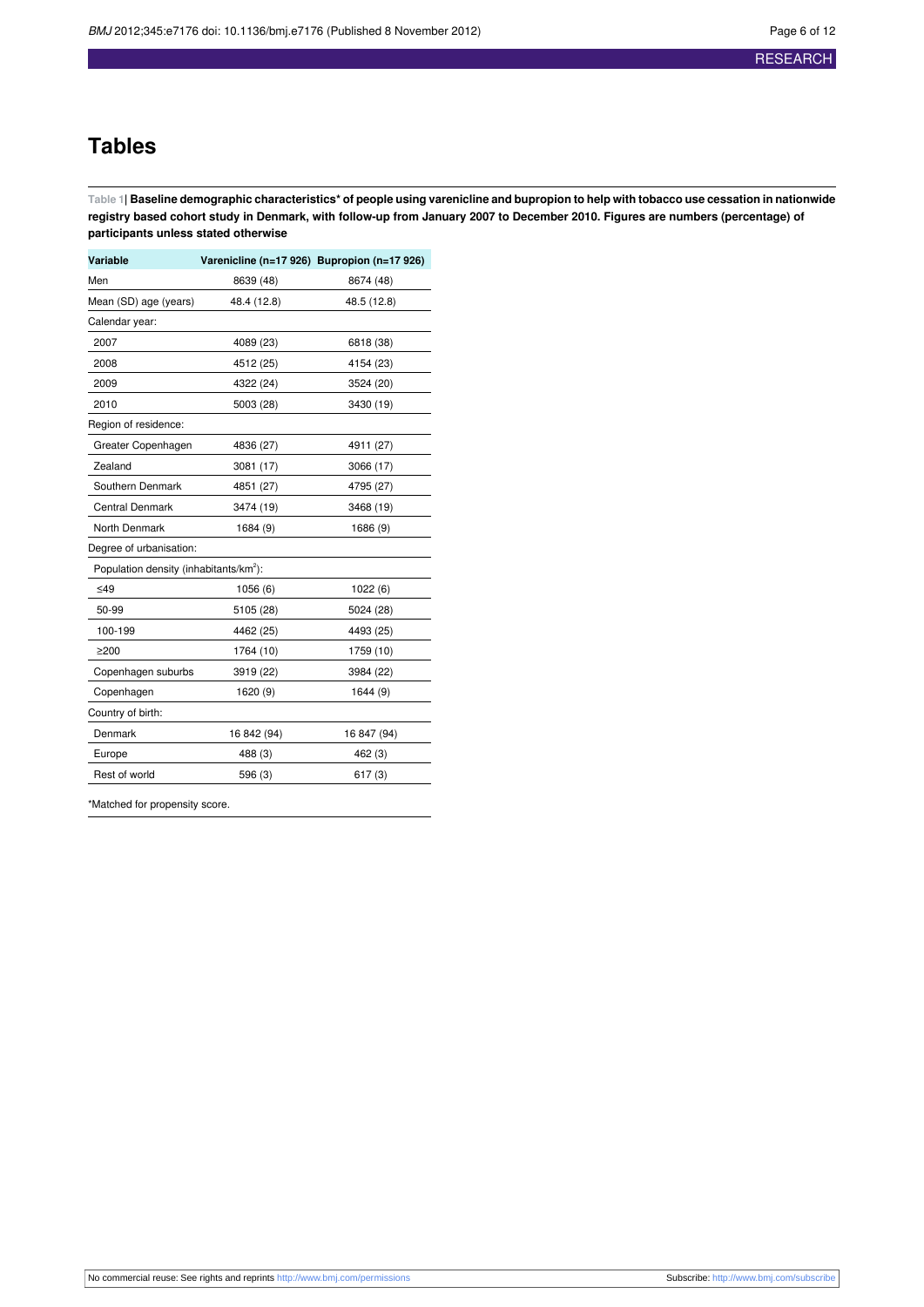## **Tables**

<span id="page-5-0"></span>Table 1| Baseline demographic characteristics\* of people using varenicline and bupropion to help with tobacco use cessation in nationwide registry based cohort study in Denmark, with follow-up from January 2007 to December 2010. Figures are numbers (percentage) of **participants unless stated otherwise**

| Variable                                           | Varenicline (n=17 926) Bupropion (n=17 926) |             |
|----------------------------------------------------|---------------------------------------------|-------------|
| Men                                                | 8639 (48)                                   | 8674 (48)   |
| Mean (SD) age (years)                              | 48.4 (12.8)                                 | 48.5 (12.8) |
| Calendar year:                                     |                                             |             |
| 2007                                               | 4089 (23)                                   | 6818 (38)   |
| 2008                                               | 4512 (25)                                   | 4154 (23)   |
| 2009                                               | 4322 (24)                                   | 3524 (20)   |
| 2010                                               | 5003 (28)                                   | 3430 (19)   |
| Region of residence:                               |                                             |             |
| Greater Copenhagen                                 | 4836 (27)                                   | 4911 (27)   |
| Zealand                                            | 3081 (17)                                   | 3066 (17)   |
| Southern Denmark                                   | 4851 (27)                                   | 4795 (27)   |
| Central Denmark                                    | 3474 (19)                                   | 3468 (19)   |
| North Denmark                                      | 1684 (9)                                    | 1686 (9)    |
| Degree of urbanisation:                            |                                             |             |
| Population density (inhabitants/km <sup>2</sup> ): |                                             |             |
| $\leq 49$                                          | 1056(6)                                     | 1022(6)     |
| 50-99                                              | 5105 (28)                                   | 5024 (28)   |
| 100-199                                            | 4462 (25)                                   | 4493 (25)   |
| $\geq$ 200                                         | 1764 (10)                                   | 1759 (10)   |
| Copenhagen suburbs                                 | 3919 (22)                                   | 3984 (22)   |
| Copenhagen                                         | 1620 (9)                                    | 1644 (9)    |
| Country of birth:                                  |                                             |             |
| Denmark                                            | 16 842 (94)                                 | 16 847 (94) |
| Europe                                             | 488 (3)                                     | 462 (3)     |
| Rest of world                                      | 596 (3)                                     | 617(3)      |

\*Matched for propensity score.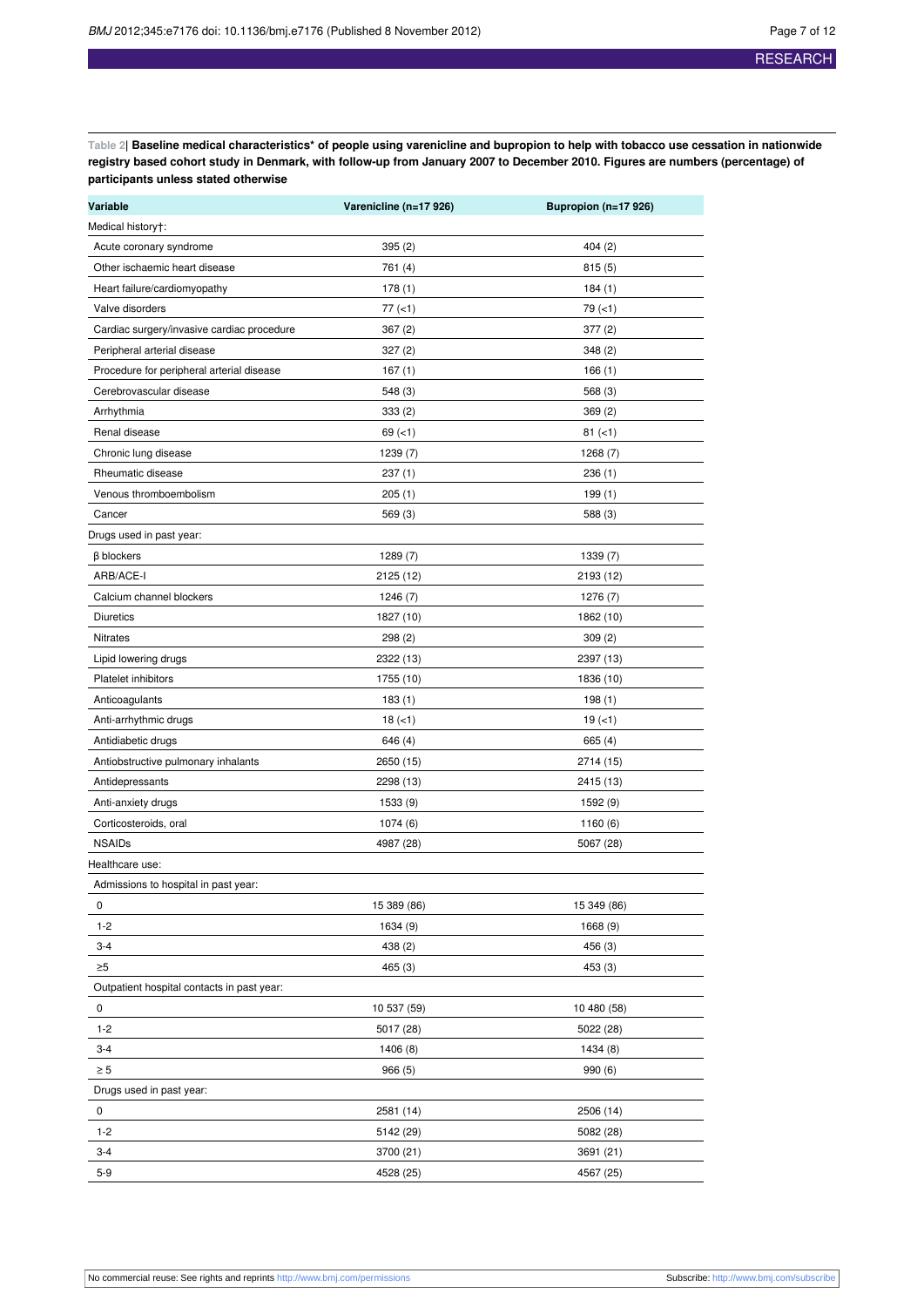<span id="page-6-0"></span>Table 2| Baseline medical characteristics\* of people using varenicline and bupropion to help with tobacco use cessation in nationwide registry based cohort study in Denmark, with follow-up from January 2007 to December 2010. Figures are numbers (percentage) of **participants unless stated otherwise**

| Variable                                   | Varenicline (n=17 926) | Bupropion (n=17 926) |
|--------------------------------------------|------------------------|----------------------|
| Medical history†:                          |                        |                      |
| Acute coronary syndrome                    | 395(2)                 | 404(2)               |
| Other ischaemic heart disease              | 761 (4)                | 815(5)               |
| Heart failure/cardiomyopathy               | 178(1)                 | 184(1)               |
| Valve disorders                            | $77 (=1)$              | $79 (=1)$            |
| Cardiac surgery/invasive cardiac procedure | 367(2)                 | 377(2)               |
| Peripheral arterial disease                | 327(2)                 | 348(2)               |
| Procedure for peripheral arterial disease  | 167 (1)                | 166(1)               |
| Cerebrovascular disease                    | 548 (3)                | 568(3)               |
| Arrhythmia                                 | 333(2)                 | 369(2)               |
| Renal disease                              | $69 (=1)$              | $81 (=1)$            |
| Chronic lung disease                       | 1239 (7)               | 1268 (7)             |
| Rheumatic disease                          | 237 (1)                | 236(1)               |
| Venous thromboembolism                     | 205(1)                 | 199(1)               |
| Cancer                                     | 569 (3)                | 588 (3)              |
| Drugs used in past year:                   |                        |                      |
| $\beta$ blockers                           | 1289 (7)               | 1339 (7)             |
| ARB/ACE-I                                  | 2125 (12)              | 2193 (12)            |
| Calcium channel blockers                   | 1246 (7)               | 1276 (7)             |
| <b>Diuretics</b>                           | 1827 (10)              | 1862 (10)            |
| Nitrates                                   | 298 (2)                | 309(2)               |
| Lipid lowering drugs                       | 2322 (13)              | 2397 (13)            |
| Platelet inhibitors                        | 1755 (10)              | 1836 (10)            |
| Anticoagulants                             | 183(1)                 | 198(1)               |
| Anti-arrhythmic drugs                      | $18 (-1)$              | $19(-1)$             |
| Antidiabetic drugs                         | 646 (4)                | 665 (4)              |
| Antiobstructive pulmonary inhalants        | 2650 (15)              | 2714 (15)            |
| Antidepressants                            | 2298 (13)              | 2415 (13)            |
| Anti-anxiety drugs                         | 1533 (9)               | 1592 (9)             |
| Corticosteroids, oral                      | 1074(6)                | 1160 (6)             |
| <b>NSAIDs</b>                              | 4987 (28)              | 5067 (28)            |
| Healthcare use:                            |                        |                      |
| Admissions to hospital in past year:       |                        |                      |
| 0                                          | 15 389 (86)            | 15 349 (86)          |
| $1 - 2$                                    | 1634 (9)               | 1668 (9)             |
| $3 - 4$                                    | 438 (2)                | 456 (3)              |
| $\geq 5$                                   | 465 (3)                | 453(3)               |
| Outpatient hospital contacts in past year: |                        |                      |
| 0                                          | 10 537 (59)            | 10 480 (58)          |
| $1 - 2$                                    | 5017 (28)              | 5022 (28)            |
| $3 - 4$                                    | 1406 (8)               | 1434 (8)             |
| $\geq 5$                                   | 966 (5)                | 990(6)               |
| Drugs used in past year:                   |                        |                      |
| 0                                          | 2581 (14)              | 2506 (14)            |
| $1 - 2$                                    | 5142 (29)              | 5082 (28)            |
| $3 - 4$                                    | 3700 (21)              | 3691 (21)            |
| $5 - 9$                                    | 4528 (25)              | 4567 (25)            |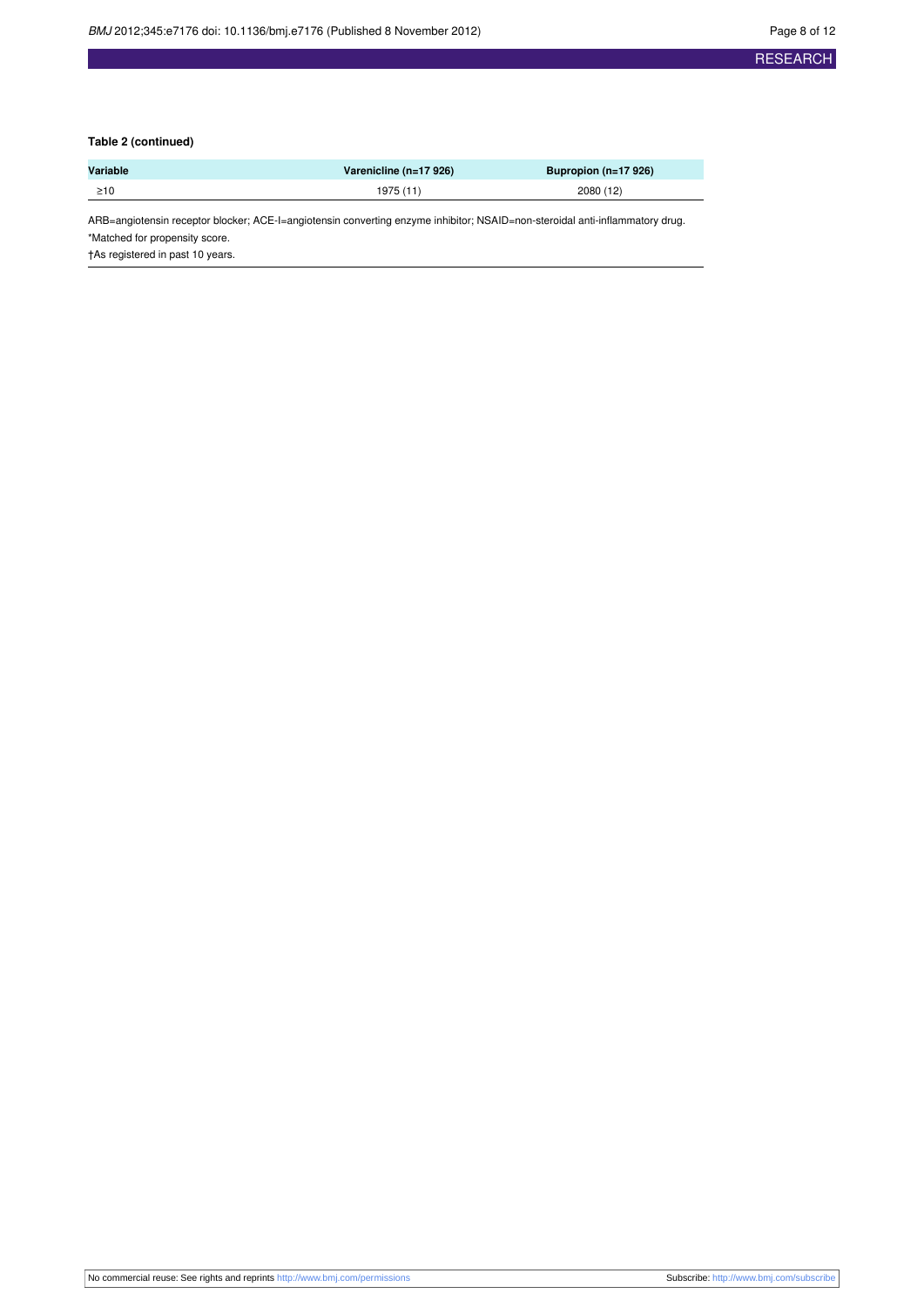### **Table 2 (continued)**

| Variable  | Varenicline (n=17 926) | Bupropion ( $n=17926$ ) |
|-----------|------------------------|-------------------------|
| $\geq 10$ | 1975 (11)              | 2080 (12)               |

ARB=angiotensin receptor blocker; ACE-I=angiotensin converting enzyme inhibitor; NSAID=non-steroidal anti-inflammatory drug.

\*Matched for propensity score.

†As registered in past 10 years.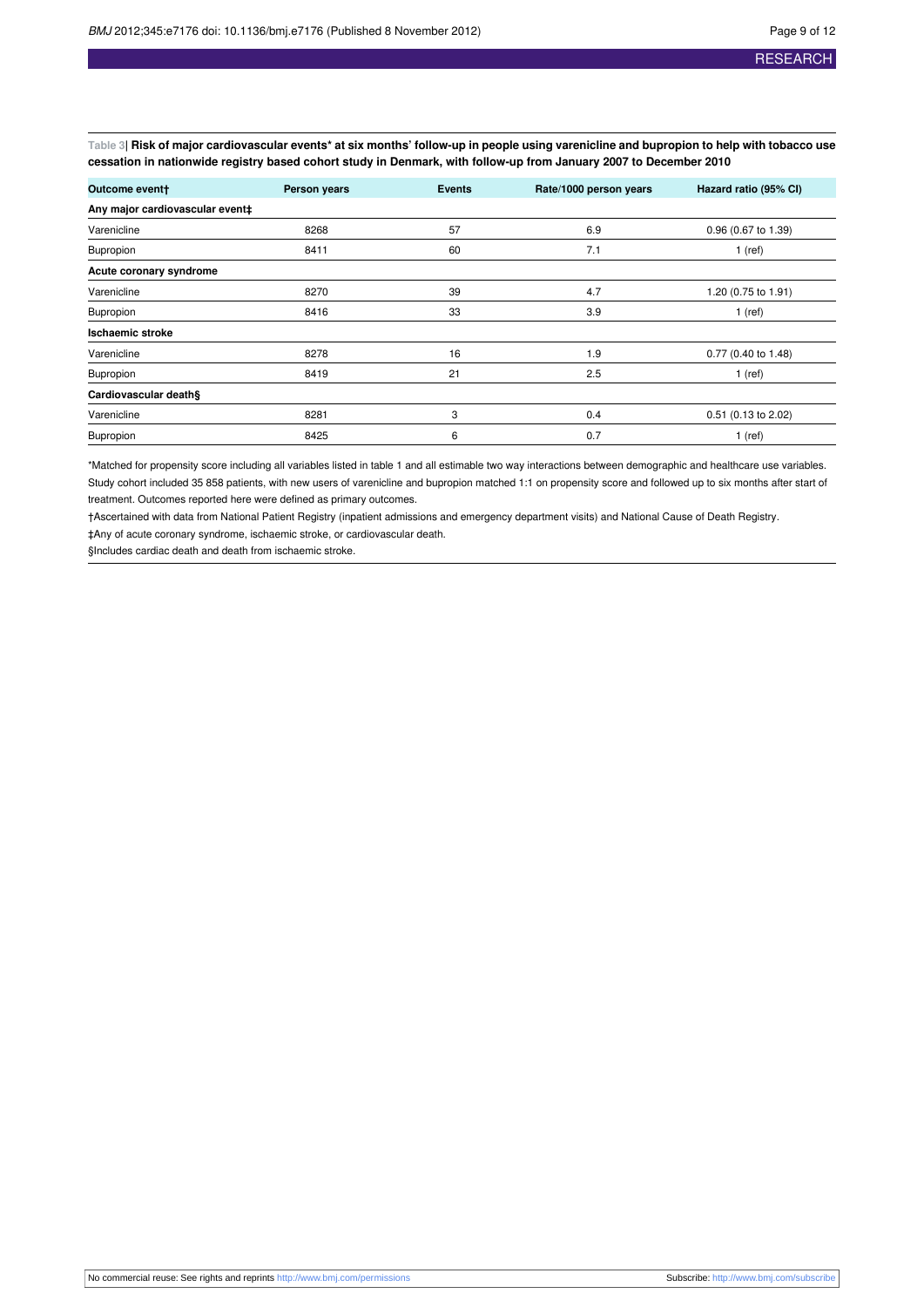<span id="page-8-0"></span>Table 3| Risk of major cardiovascular events\* at six months' follow-up in people using varenicline and bupropion to help with tobacco use cessation in nationwide registry based cohort study in Denmark, with follow-up from January 2007 to December 2010

| Outcome event+                  | Person years | <b>Events</b> | Rate/1000 person years | Hazard ratio (95% CI) |
|---------------------------------|--------------|---------------|------------------------|-----------------------|
| Any major cardiovascular event‡ |              |               |                        |                       |
| Varenicline                     | 8268         | 57            | 6.9                    | 0.96 (0.67 to 1.39)   |
| Bupropion                       | 8411         | 60            | 7.1                    | $1$ (ref)             |
| Acute coronary syndrome         |              |               |                        |                       |
| Varenicline                     | 8270         | 39            | 4.7                    | 1.20 (0.75 to 1.91)   |
| Bupropion                       | 8416         | 33            | 3.9                    | $1$ (ref)             |
| <b>Ischaemic stroke</b>         |              |               |                        |                       |
| Varenicline                     | 8278         | 16            | 1.9                    | 0.77 (0.40 to 1.48)   |
| Bupropion                       | 8419         | 21            | 2.5                    | $1$ (ref)             |
| Cardiovascular death§           |              |               |                        |                       |
| Varenicline                     | 8281         | 3             | 0.4                    | 0.51 (0.13 to 2.02)   |
| Bupropion                       | 8425         | 6             | 0.7                    | $1$ (ref)             |

\*Matched for propensity score including all variables listed in table 1 and all estimable two way interactions between demographic and healthcare use variables. Study cohort included 35 858 patients, with new users of varenicline and bupropion matched 1:1 on propensity score and followed up to six months after start of treatment. Outcomes reported here were defined as primary outcomes.

†Ascertained with data from National Patient Registry (inpatient admissions and emergency department visits) and National Cause of Death Registry. ‡Any of acute coronary syndrome, ischaemic stroke, or cardiovascular death.

§Includes cardiac death and death from ischaemic stroke.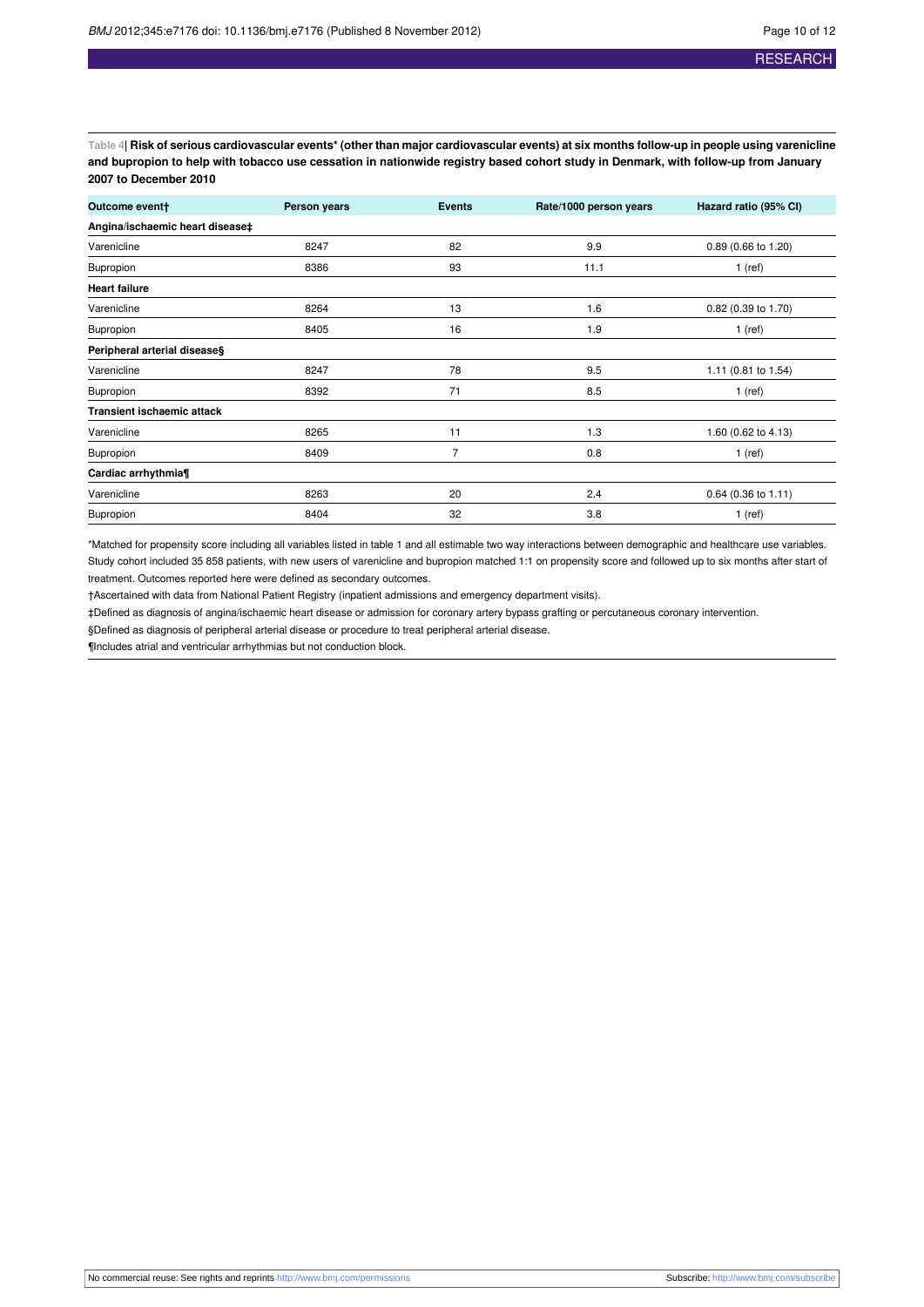<span id="page-9-0"></span>Table 4| Risk of serious cardiovascular events\* (other than major cardiovascular events) at six months follow-up in people using varenicline and bupropion to help with tobacco use cessation in nationwide registry based cohort study in Denmark, with follow-up from January **2007 to December 2010**

| Outcome event+                    | Person years | <b>Events</b>  | Rate/1000 person years | Hazard ratio (95% CI) |
|-----------------------------------|--------------|----------------|------------------------|-----------------------|
| Angina/ischaemic heart disease‡   |              |                |                        |                       |
| Varenicline                       | 8247         | 82             | 9.9                    | 0.89 (0.66 to 1.20)   |
| Bupropion                         | 8386         | 93             | 11.1                   | $1$ (ref)             |
| <b>Heart failure</b>              |              |                |                        |                       |
| Varenicline                       | 8264         | 13             | 1.6                    | 0.82 (0.39 to 1.70)   |
| <b>Bupropion</b>                  | 8405         | 16             | 1.9                    | $1$ (ref)             |
| Peripheral arterial disease§      |              |                |                        |                       |
| Varenicline                       | 8247         | 78             | 9.5                    | 1.11 (0.81 to 1.54)   |
| Bupropion                         | 8392         | 71             | 8.5                    | $1$ (ref)             |
| <b>Transient ischaemic attack</b> |              |                |                        |                       |
| Varenicline                       | 8265         | 11             | 1.3                    | 1.60 (0.62 to 4.13)   |
| <b>Bupropion</b>                  | 8409         | $\overline{7}$ | 0.8                    | $1$ (ref)             |
| Cardiac arrhythmia¶               |              |                |                        |                       |
| Varenicline                       | 8263         | 20             | 2.4                    | 0.64 (0.36 to 1.11)   |
| <b>Bupropion</b>                  | 8404         | 32             | 3.8                    | $1$ (ref)             |

\*Matched for propensity score including all variables listed in table 1 and all estimable two way interactions between demographic and healthcare use variables. Study cohort included 35 858 patients, with new users of varenicline and bupropion matched 1:1 on propensity score and followed up to six months after start of treatment. Outcomes reported here were defined as secondary outcomes.

†Ascertained with data from National Patient Registry (inpatient admissions and emergency department visits).

‡Defined as diagnosis of angina/ischaemic heart disease or admission for coronary artery bypass grafting or percutaneous coronary intervention.

§Defined as diagnosis of peripheral arterial disease or procedure to treat peripheral arterial disease.

¶Includes atrial and ventricular arrhythmias but not conduction block.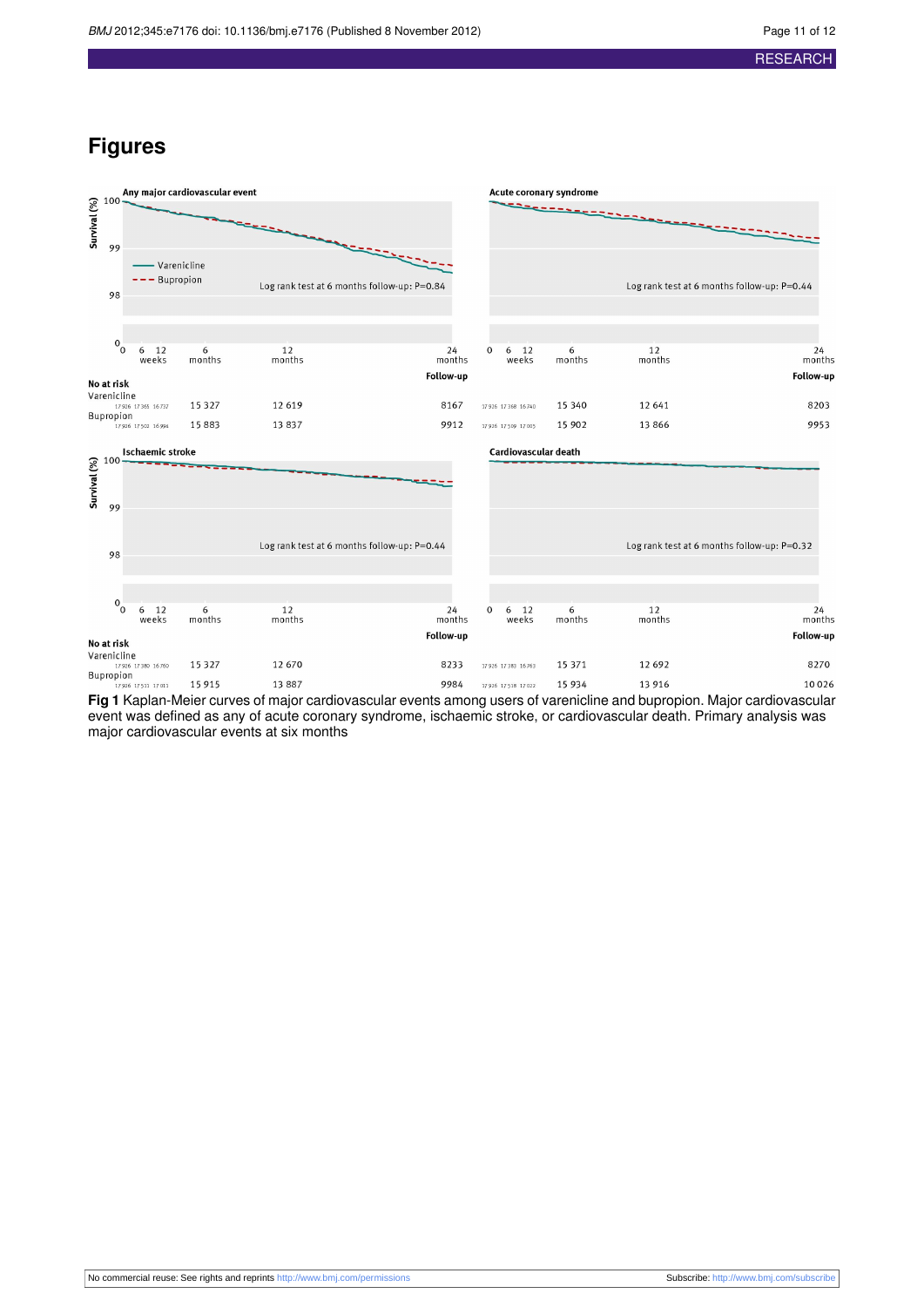## **Figures**

<span id="page-10-0"></span>

**Fig 1** Kaplan-Meier curves of major cardiovascular events among users of varenicline and bupropion. Major cardiovascular event was defined as any of acute coronary syndrome, ischaemic stroke, or cardiovascular death. Primary analysis was major cardiovascular events at six months